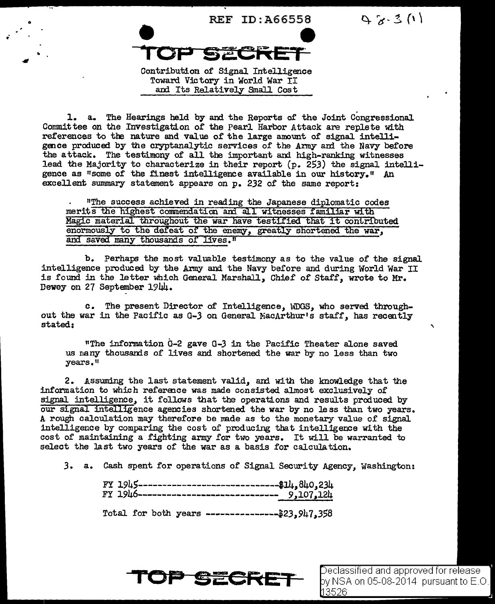

 $9.8 - 3(1)$ 

Contribution of Signal Intelligence Toward Victory in World War II and Its Relatively Small Cost

1. a. The Hearings held by and the Reports of the Joint Congressional Committee on the Investigation of the Pearl Harbor Attack are replete with references to the nature and value of the large amount of signal intelligence produced by the cryptanalytic services of the Army and the Navy before the attack. The testimony of all the important and high-ranking witnesses lead the Majority to characterize in their report  $(p. 253)$  the signal intelligence as "some of the finest intelligence available in our history." An excellent summary statement appears on p. 232 of the same report:

"The success achieved in reading the Japanese diplomatic codes merits the highest commendation and all witnesses familiar with Magic material throughout the war have testified that it contributed enormously to the defeat of the enemy, greatly shortened the war, and saved many thousands of lives."

b. Perhaps the most valuable testimony as to the value of the signal intelligence produced by the Army and the Navy before and during World War II is found in the letter which General Marshall, Chief of Staff, wrote to Mr. Dewey on 27 September 1944.

c. The present Director of Intelligence, WDGS, who served throughout the war in the Pacific as G-3 on General MacArthur's staff, has recently stated:

"The information G-2 gave G-3 in the Pacific Theater alone saved us many thousands of lives and shortened the war by no less than two years."

2. Assuming the last statement valid, and with the knowledge that the information to which reference was made consisted almost exclusively of signal intelligence, it follows that the operations and results produced by our signal intelligence agencies shortened the war by no less than two years. A rough calculation may therefore be made as to the monetary value of signal intelligence by comparing the cost of producing that intelligence with the cost of maintaining a fighting army for two years. It will be warranted to select the last two years of the war as a basis for calculation.

3. a. Cash spent for operations of Signal Security Agency, Washington:

| FY 1945--------------------------------\$14,840,234 |
|-----------------------------------------------------|
| Total for both years ----------------\$23,947,358   |



Declassified and approved for release by NSA on 05-08-2014  $\,$  pursuant to E.O. 13526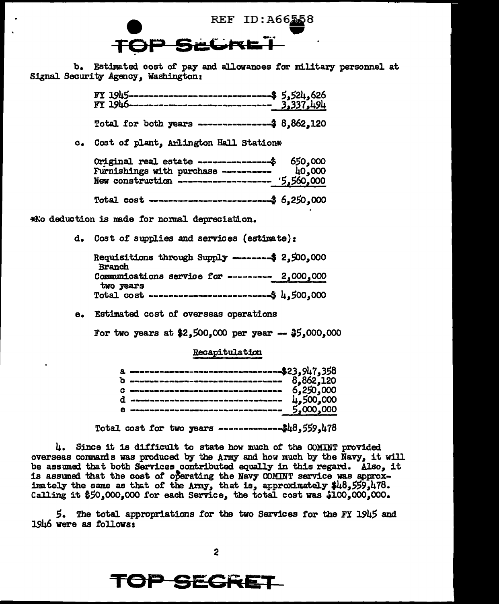REF ID:A66558

b. Estimated cost of pay and allowances for military personnel at Signal Security Agency. Washington:

| $FT 1945$ ---------------------------------\$ 5,524,626<br>$FT 1946$ ----------------------------- <u>3,337,494</u> |  |
|---------------------------------------------------------------------------------------------------------------------|--|
| Total for both years ----------------- $3.862,120$                                                                  |  |

c. Cost of plant. Arlington Hall Station\*

| Original real estate ----------------\$ 650,000                                               |  |
|-----------------------------------------------------------------------------------------------|--|
|                                                                                               |  |
| Furnishings with purchase ----------- 40,000<br>New construction ------------------ 5,560,000 |  |
| Total cost ----------------------------\$ 6,250,000                                           |  |
|                                                                                               |  |

\*No deduction is made for normal depreciation.

d. Cost of supplies and services (estimate):

| Requisitions through Supply --------\$ 2,500,000<br><b>Branch</b> |  |
|-------------------------------------------------------------------|--|
| Communications service for --------- 2,000,000                    |  |
| two years                                                         |  |

e. Estimated cost of overseas operations

For two years at \$2,500,000 per year --  $$5,000,000$ 

## Recapitulation

| a -------------------------------\$23.947.358 |  |
|-----------------------------------------------|--|
| $\overline{6}.862.120$                        |  |
|                                               |  |
|                                               |  |
|                                               |  |
|                                               |  |
|                                               |  |

Total cost for two years ---------------\$48,559,478

4. Since it is difficult to state how much of the COMINT provided overseas commands was produced by the Army and how much by the Navy, it will be assumed that both Services contributed equally in this regard. Also, it is assumed that the cost of operating the Navy COMINT service was approximately the same as that of the Army, that is, approximately \$48,559,478. Calling it \$50,000,000 for each Service, the total cost was \$100,000,000.

5. The total appropriations for the two Services for the FY 1945 and 1946 were as follows:

## <sup>3</sup> SEGRE